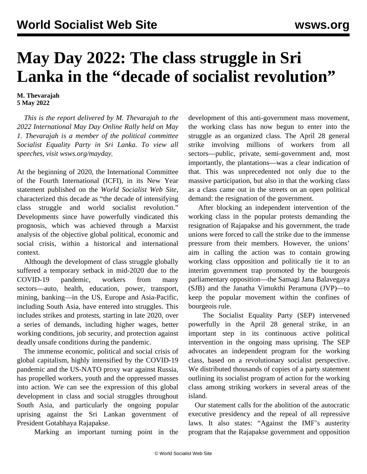## **May Day 2022: The class struggle in Sri Lanka in the "decade of socialist revolution"**

## **M. Thevarajah 5 May 2022**

 *This is the report delivered by M. Thevarajah to the 2022 International May Day Online Rally held on May 1. Thevarajah is a member of the political committee Socialist Equality Party in Sri Lanka. To view all speeches, visit [wsws.org/mayday.](/mayday)*

At the beginning of 2020, the International Committee of the Fourth International (ICFI), in its [New Year](/en/articles/2020/01/03/pers-j03.html) [statement](/en/articles/2020/01/03/pers-j03.html) published on the *World Socialist Web Site*, characterized this decade as "the decade of intensifying class struggle and world socialist revolution." Developments since have powerfully vindicated this prognosis, which was achieved through a Marxist analysis of the objective global political, economic and social crisis, within a historical and international context.

 Although the development of class struggle globally suffered a temporary setback in mid-2020 due to the COVID-19 pandemic, workers from many sectors—auto, health, education, power, transport, mining, banking—in the US, Europe and Asia-Pacific, including South Asia, have entered into struggles. This includes strikes and protests, starting in late 2020, over a series of demands, including higher wages, better working conditions, job security, and protection against deadly unsafe conditions during the pandemic.

 The immense economic, political and social crisis of global capitalism, highly intensified by the COVID-19 pandemic and the US-NATO proxy war against Russia, has propelled workers, youth and the oppressed masses into action. We can see the expression of this global development in class and social struggles throughout South Asia, and particularly the ongoing popular uprising against the Sri Lankan government of President Gotabhaya Rajapakse.

Marking an important turning point in the

development of this anti-government mass movement, the working class has now begun to enter into the struggle as an organized class. The April 28 general strike involving millions of workers from all sectors—public, private, semi-government and, most importantly, the plantations—was a clear indication of that. This was unprecedented not only due to the massive participation, but also in that the working class as a class came out in the streets on an open political demand: the resignation of the government.

 After blocking an independent intervention of the working class in the popular protests demanding the resignation of Rajapakse and his government, the trade unions were forced to call the strike due to the immense pressure from their members. However, the unions' aim in calling the action was to contain growing working class opposition and politically tie it to an interim government trap promoted by the bourgeois parliamentary opposition—the Samagi Jana Balavegaya (SJB) and the Janatha Vimukthi Peramuna (JVP)—to keep the popular movement within the confines of bourgeois rule.

 The Socialist Equality Party (SEP) intervened powerfully in the April 28 general strike, in an important step in its continuous active political intervention in the ongoing mass uprising. The SEP advocates an independent program for the working class, based on a revolutionary socialist perspective. We distributed thousands of copies of [a party statement](/en/articles/2022/04/07/sril-a07.html) outlining its socialist program of action for the working class among striking workers in several areas of the island.

 Our statement calls for the abolition of the autocratic executive presidency and the repeal of all repressive laws. It also states: "Against the IMF's austerity program that the Rajapakse government and opposition